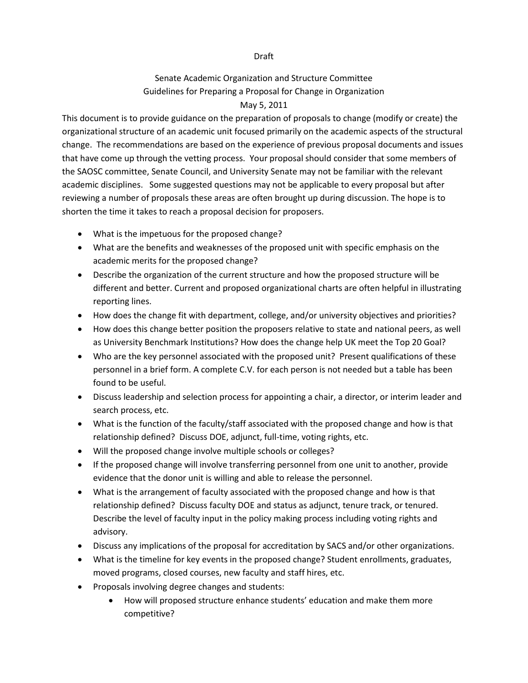## Draft

## Senate Academic Organization and Structure Committee Guidelines for Preparing a Proposal for Change in Organization

## May 5, 2011

This document is to provide guidance on the preparation of proposals to change (modify or create) the organizational structure of an academic unit focused primarily on the academic aspects of the structural change. The recommendations are based on the experience of previous proposal documents and issues that have come up through the vetting process. Your proposal should consider that some members of the SAOSC committee, Senate Council, and University Senate may not be familiar with the relevant academic disciplines. Some suggested questions may not be applicable to every proposal but after reviewing a number of proposals these areas are often brought up during discussion. The hope is to shorten the time it takes to reach a proposal decision for proposers.

- What is the impetuous for the proposed change?
- What are the benefits and weaknesses of the proposed unit with specific emphasis on the academic merits for the proposed change?
- Describe the organization of the current structure and how the proposed structure will be different and better. Current and proposed organizational charts are often helpful in illustrating reporting lines.
- How does the change fit with department, college, and/or university objectives and priorities?
- How does this change better position the proposers relative to state and national peers, as well as University Benchmark Institutions? How does the change help UK meet the Top 20 Goal?
- Who are the key personnel associated with the proposed unit? Present qualifications of these personnel in a brief form. A complete C.V. for each person is not needed but a table has been found to be useful.
- Discuss leadership and selection process for appointing a chair, a director, or interim leader and search process, etc.
- What is the function of the faculty/staff associated with the proposed change and how is that relationship defined? Discuss DOE, adjunct, full-time, voting rights, etc.
- Will the proposed change involve multiple schools or colleges?
- If the proposed change will involve transferring personnel from one unit to another, provide evidence that the donor unit is willing and able to release the personnel.
- What is the arrangement of faculty associated with the proposed change and how is that relationship defined? Discuss faculty DOE and status as adjunct, tenure track, or tenured. Describe the level of faculty input in the policy making process including voting rights and advisory.
- Discuss any implications of the proposal for accreditation by SACS and/or other organizations.
- What is the timeline for key events in the proposed change? Student enrollments, graduates, moved programs, closed courses, new faculty and staff hires, etc.
- Proposals involving degree changes and students:
	- How will proposed structure enhance students' education and make them more competitive?